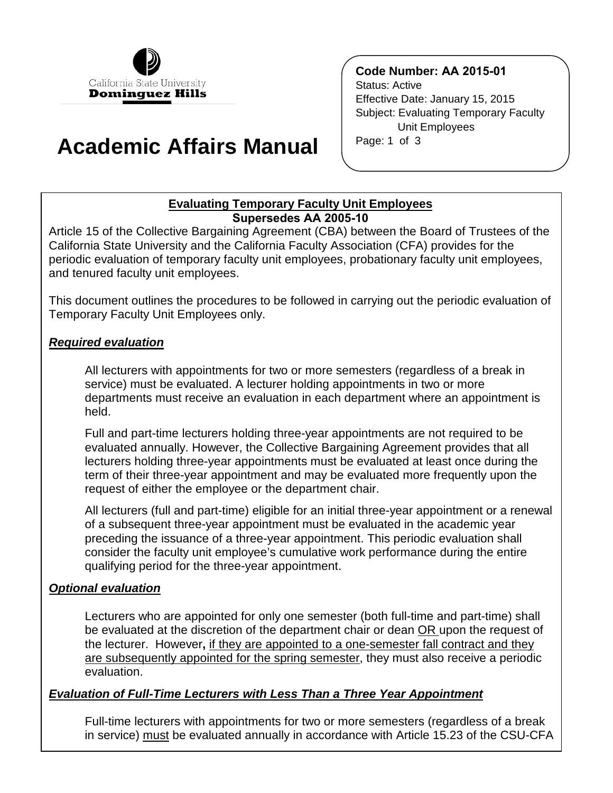

# **Academic Affairs Manual**

# **Code Number: AA 2015-01**

 Effective Date: January 15, 2015 Status: Active Subject: Evaluating Temporary Faculty Unit Employees Page: 1 of 3

# **Evaluating Temporary Faculty Unit Employees Supersedes AA 2005-10**

Article 15 of the Collective Bargaining Agreement (CBA) between the Board of Trustees of the California State University and the California Faculty Association (CFA) provides for the periodic evaluation of temporary faculty unit employees, probationary faculty unit employees, and tenured faculty unit employees.

This document outlines the procedures to be followed in carrying out the periodic evaluation of Temporary Faculty Unit Employees only.

## *Required evaluation*

All lecturers with appointments for two or more semesters (regardless of a break in service) must be evaluated. A lecturer holding appointments in two or more departments must receive an evaluation in each department where an appointment is held.

Full and part-time lecturers holding three-year appointments are not required to be evaluated annually. However, the Collective Bargaining Agreement provides that all lecturers holding three-year appointments must be evaluated at least once during the term of their three-year appointment and may be evaluated more frequently upon the request of either the employee or the department chair.

All lecturers (full and part-time) eligible for an initial three-year appointment or a renewal of a subsequent three-year appointment must be evaluated in the academic year preceding the issuance of a three-year appointment. This periodic evaluation shall consider the faculty unit employee's cumulative work performance during the entire qualifying period for the three-year appointment.

# *Optional evaluation*

Lecturers who are appointed for only one semester (both full-time and part-time) shall be evaluated at the discretion of the department chair or dean OR upon the request of the lecturer. However**,** if they are appointed to a one-semester fall contract and they are subsequently appointed for the spring semester, they must also receive a periodic evaluation.

#### *Evaluation of Full-Time Lecturers with Less Than a Three Year Appointment*

Full-time lecturers with appointments for two or more semesters (regardless of a break in service) must be evaluated annually in accordance with Article 15.23 of the CSU-CFA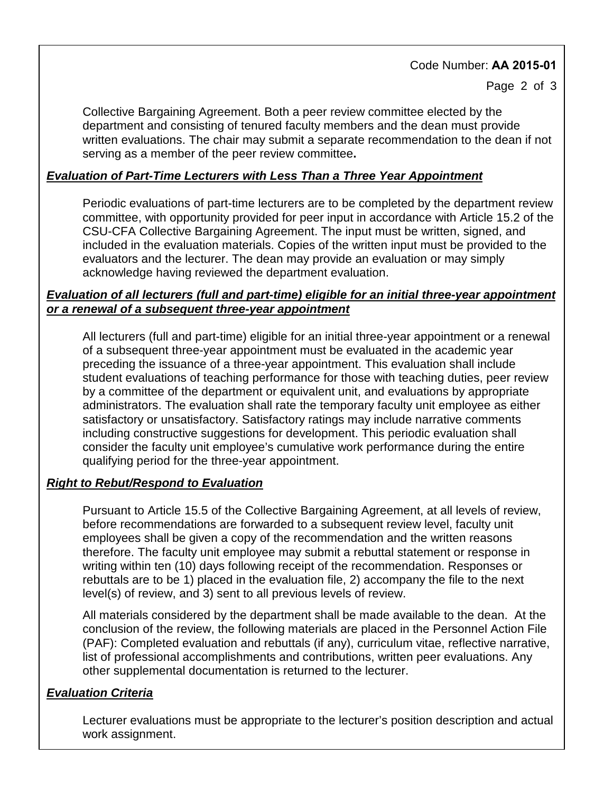# Code Number: **AA 2015-01**

Page 2 of 3

Collective Bargaining Agreement. Both a peer review committee elected by the department and consisting of tenured faculty members and the dean must provide written evaluations. The chair may submit a separate recommendation to the dean if not serving as a member of the peer review committee**.** 

# *Evaluation of Part-Time Lecturers with Less Than a Three Year Appointment*

Periodic evaluations of part-time lecturers are to be completed by the department review committee, with opportunity provided for peer input in accordance with Article 15.2 of the CSU-CFA Collective Bargaining Agreement. The input must be written, signed, and included in the evaluation materials. Copies of the written input must be provided to the evaluators and the lecturer. The dean may provide an evaluation or may simply acknowledge having reviewed the department evaluation.

## *Evaluation of all lecturers (full and part-time) eligible for an initial three-year appointment or a renewal of a subsequent three-year appointment*

All lecturers (full and part-time) eligible for an initial three-year appointment or a renewal of a subsequent three-year appointment must be evaluated in the academic year preceding the issuance of a three-year appointment. This evaluation shall include student evaluations of teaching performance for those with teaching duties, peer review by a committee of the department or equivalent unit, and evaluations by appropriate administrators. The evaluation shall rate the temporary faculty unit employee as either satisfactory or unsatisfactory. Satisfactory ratings may include narrative comments including constructive suggestions for development. This periodic evaluation shall consider the faculty unit employee's cumulative work performance during the entire qualifying period for the three-year appointment.

# *Right to Rebut/Respond to Evaluation*

Pursuant to Article 15.5 of the Collective Bargaining Agreement, at all levels of review, before recommendations are forwarded to a subsequent review level, faculty unit employees shall be given a copy of the recommendation and the written reasons therefore. The faculty unit employee may submit a rebuttal statement or response in writing within ten (10) days following receipt of the recommendation. Responses or rebuttals are to be 1) placed in the evaluation file, 2) accompany the file to the next level(s) of review, and 3) sent to all previous levels of review.

All materials considered by the department shall be made available to the dean. At the conclusion of the review, the following materials are placed in the Personnel Action File (PAF): Completed evaluation and rebuttals (if any), curriculum vitae, reflective narrative, list of professional accomplishments and contributions, written peer evaluations. Any other supplemental documentation is returned to the lecturer.

# *Evaluation Criteria*

Lecturer evaluations must be appropriate to the lecturer's position description and actual work assignment.